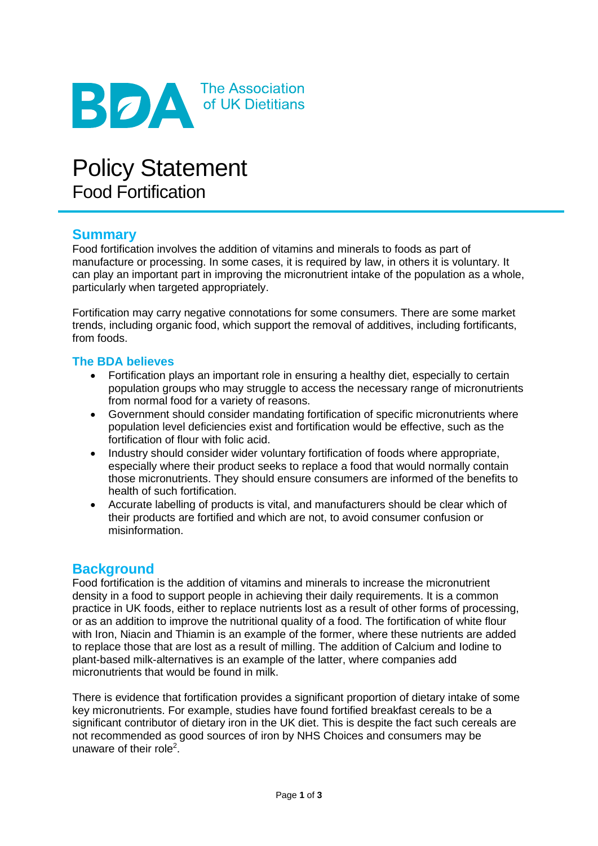

# Policy Statement Food Fortification

# **Summary**

Food fortification involves the addition of vitamins and minerals to foods as part of manufacture or processing. In some cases, it is required by law, in others it is voluntary. It can play an important part in improving the micronutrient intake of the population as a whole, particularly when targeted appropriately.

Fortification may carry negative connotations for some consumers. There are some market trends, including organic food, which support the removal of additives, including fortificants, from foods.

#### **The BDA believes**

- Fortification plays an important role in ensuring a healthy diet, especially to certain population groups who may struggle to access the necessary range of micronutrients from normal food for a variety of reasons.
- Government should consider mandating fortification of specific micronutrients where population level deficiencies exist and fortification would be effective, such as the fortification of flour with folic acid.
- Industry should consider wider voluntary fortification of foods where appropriate, especially where their product seeks to replace a food that would normally contain those micronutrients. They should ensure consumers are informed of the benefits to health of such fortification.
- Accurate labelling of products is vital, and manufacturers should be clear which of their products are fortified and which are not, to avoid consumer confusion or misinformation.

## **Background**

Food fortification is the addition of vitamins and minerals to increase the micronutrient density in a food to support people in achieving their daily requirements. It is a common practice in UK foods, either to replace nutrients lost as a result of other forms of processing, or as an addition to improve the nutritional quality of a food. The fortification of white flour with Iron, Niacin and Thiamin is an example of the former, where these nutrients are added to replace those that are lost as a result of milling. The addition of Calcium and Iodine to plant-based milk-alternatives is an example of the latter, where companies add micronutrients that would be found in milk.

There is evidence that fortification provides a significant proportion of dietary intake of some key micronutrients. For example, studies have found fortified breakfast cereals to be a significant contributor of dietary iron in the UK diet. This is despite the fact such cereals are not recommended as good sources of iron by NHS Choices and consumers may be unaware of their role<sup>2</sup>.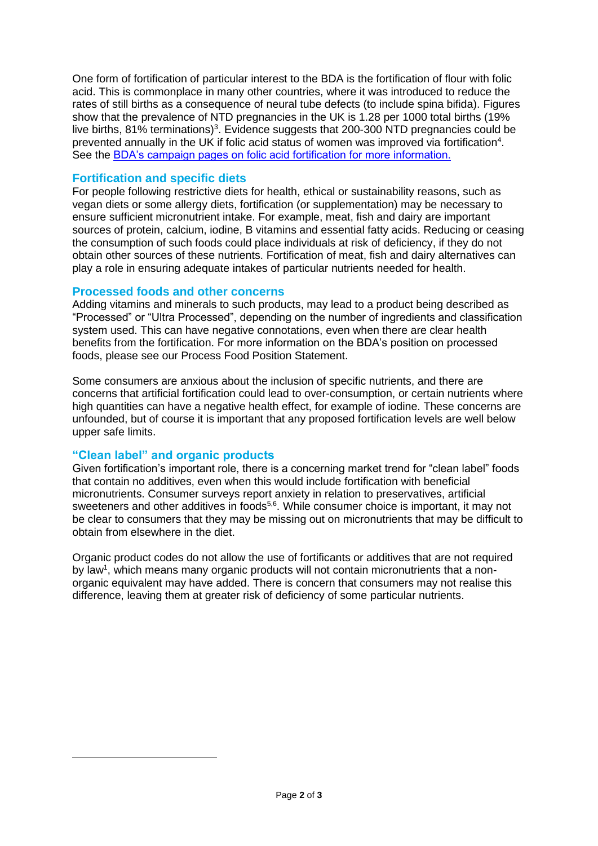One form of fortification of particular interest to the BDA is the fortification of flour with folic acid. This is commonplace in many other countries, where it was introduced to reduce the rates of still births as a consequence of neural tube defects (to include spina bifida). Figures show that the prevalence of NTD pregnancies in the UK is 1.28 per 1000 total births (19% live births, 81% terminations)<sup>3</sup>. Evidence suggests that 200-300 NTD pregnancies could be prevented annually in the UK if folic acid status of women was improved via fortification<sup>4</sup>. See the [BDA's campaign pages on folic acid fortification for more information.](file://///FILESERVERVM/ExternalAffairs/PUBLICATIONS/Policy%20and%20Position%20Statements/Policy%20and%20Position%20Statements/Food%20Fortifcation/Food%20Fortification%20Policy%20Statement%20v1%20DRAFT.docx)

#### **Fortification and specific diets**

For people following restrictive diets for health, ethical or sustainability reasons, such as vegan diets or some allergy diets, fortification (or supplementation) may be necessary to ensure sufficient micronutrient intake. For example, meat, fish and dairy are important sources of protein, calcium, iodine, B vitamins and essential fatty acids. Reducing or ceasing the consumption of such foods could place individuals at risk of deficiency, if they do not obtain other sources of these nutrients. Fortification of meat, fish and dairy alternatives can play a role in ensuring adequate intakes of particular nutrients needed for health.

#### **Processed foods and other concerns**

Adding vitamins and minerals to such products, may lead to a product being described as "Processed" or "Ultra Processed", depending on the number of ingredients and classification system used. This can have negative connotations, even when there are clear health benefits from the fortification. For more information on the BDA's position on processed foods, please see our Process Food Position Statement.

Some consumers are anxious about the inclusion of specific nutrients, and there are concerns that artificial fortification could lead to over-consumption, or certain nutrients where high quantities can have a negative health effect, for example of iodine. These concerns are unfounded, but of course it is important that any proposed fortification levels are well below upper safe limits.

## **"Clean label" and organic products**

Given fortification's important role, there is a concerning market trend for "clean label" foods that contain no additives, even when this would include fortification with beneficial micronutrients. Consumer surveys report anxiety in relation to preservatives, artificial sweeteners and other additives in foods<sup>5,6</sup>. While consumer choice is important, it may not be clear to consumers that they may be missing out on micronutrients that may be difficult to obtain from elsewhere in the diet.

Organic product codes do not allow the use of fortificants or additives that are not required by law<sup>1</sup>, which means many organic products will not contain micronutrients that a nonorganic equivalent may have added. There is concern that consumers may not realise this difference, leaving them at greater risk of deficiency of some particular nutrients.